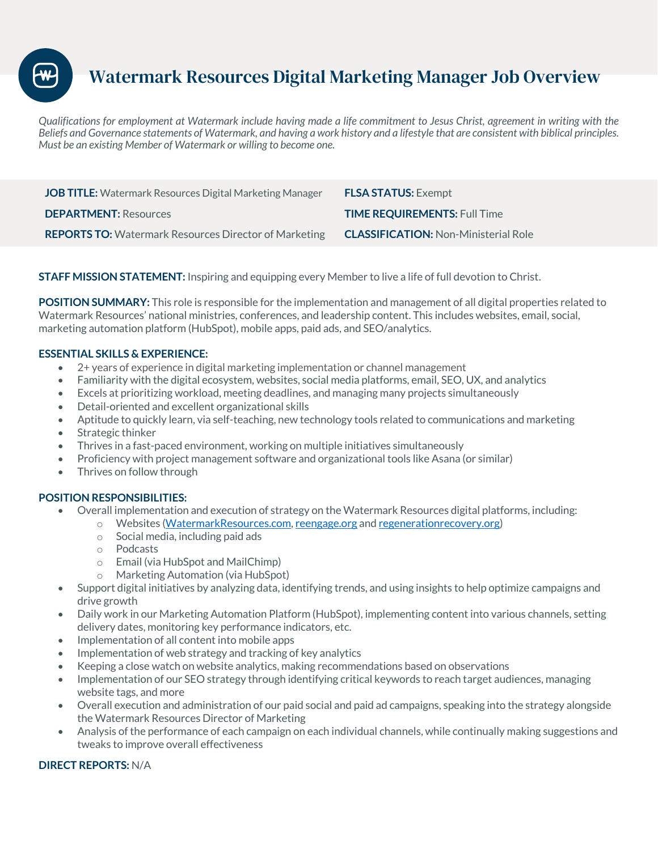# Watermark Resources Digital Marketing Manager Job Overview

*Qualifications for employment at Watermark include having made a life commitment to Jesus Christ, agreement in writing with the Beliefs and Governance statements of Watermark, and having a work history and a lifestyle that are consistent with biblical principles. Must be an existing Member of Watermark or willing to become one.* 

| JOB TITLE: Watermark Resources Digital Marketing Manager     | <b>FLSA STATUS: Exempt</b>                  |
|--------------------------------------------------------------|---------------------------------------------|
| <b>DEPARTMENT: Resources</b>                                 | <b>TIME REQUIREMENTS: Full Time</b>         |
| <b>REPORTS TO:</b> Watermark Resources Director of Marketing | <b>CLASSIFICATION: Non-Ministerial Role</b> |

**STAFF MISSION STATEMENT:** Inspiring and equipping every Member to live a life of full devotion to Christ.

**POSITION SUMMARY:** This role is responsible for the implementation and management of all digital properties related to Watermark Resources' national ministries, conferences, and leadership content. This includes websites, email, social, marketing automation platform (HubSpot), mobile apps, paid ads, and SEO/analytics.

### **ESSENTIAL SKILLS & EXPERIENCE:**

- 2+ years of experience in digital marketing implementation or channel management
- Familiarity with the digital ecosystem, websites, social media platforms, email, SEO, UX, and analytics
- Excels at prioritizing workload, meeting deadlines, and managing many projects simultaneously
- Detail-oriented and excellent organizational skills
- Aptitude to quickly learn, via self-teaching, new technology tools related to communications and marketing
- Strategic thinker
- Thrives in a fast-paced environment, working on multiple initiatives simultaneously
- Proficiency with project management software and organizational tools like Asana (or similar)
- Thrives on follow through

## **POSITION RESPONSIBILITIES:**

- Overall implementation and execution of strategy on the Watermark Resources digital platforms, including:
	- o Websites (WatermarkResources.com, reengage.org and regenerationrecovery.org)
		- o Social media, including paid ads
		- o Podcasts
		- o Email (via HubSpot and MailChimp)
		- o Marketing Automation (via HubSpot)
- Support digital initiatives by analyzing data, identifying trends, and using insights to help optimize campaigns and drive growth
- Daily work in our Marketing Automation Platform (HubSpot), implementing content into various channels, setting delivery dates, monitoring key performance indicators, etc.
- Implementation of all content into mobile apps
- Implementation of web strategy and tracking of key analytics
- Keeping a close watch on website analytics, making recommendations based on observations
- Implementation of our SEO strategy through identifying critical keywords to reach target audiences, managing website tags, and more
- Overall execution and administration of our paid social and paid ad campaigns, speaking into the strategy alongside the Watermark Resources Director of Marketing
- Analysis of the performance of each campaign on each individual channels, while continually making suggestions and tweaks to improve overall effectiveness

#### **DIRECT REPORTS:** N/A